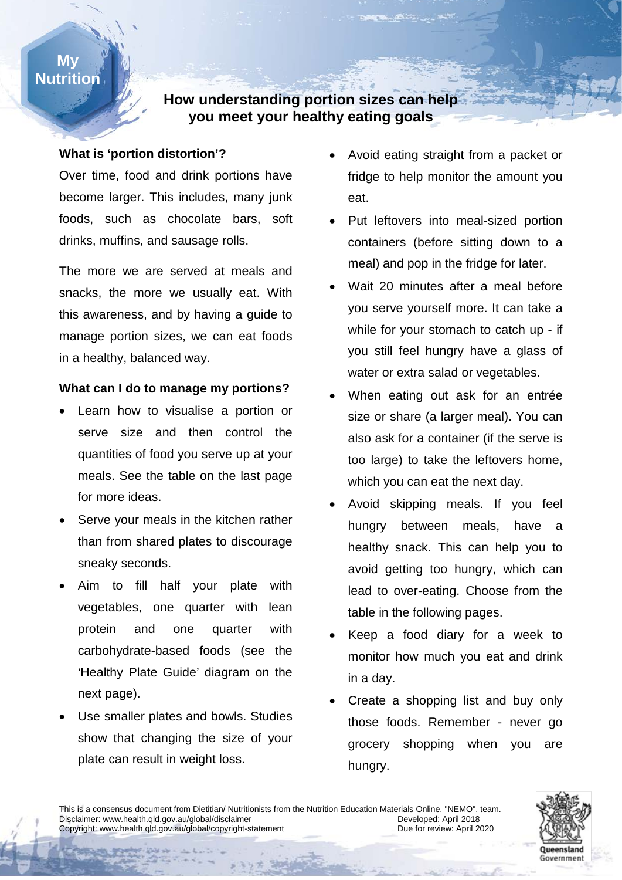### **My Nutrition**

## **How understanding portion sizes can help you meet your healthy eating goals**

#### **What is 'portion distortion'?**

Over time, food and drink portions have become larger. This includes, many junk foods, such as chocolate bars, soft drinks, muffins, and sausage rolls.

The more we are served at meals and snacks, the more we usually eat. With this awareness, and by having a guide to manage portion sizes, we can eat foods in a healthy, balanced way.

## **What can I do to manage my portions?**

- quantities of food you serve up at your Learn how to visualise a portion or serve size and then control the meals. See the table on the last page for more ideas.
- Serve your meals in the kitchen rather than from shared plates to discourage sneaky seconds.
- Aim to fill half your plate with vegetables, one quarter with lean protein and one quarter with carbohydrate-based foods (see the 'Healthy Plate Guide' diagram on the next page).
- Use smaller plates and bowls. Studies show that changing the size of your plate can result in weight loss.
- Avoid eating straight from a packet or fridge to help monitor the amount you eat.
- Put leftovers into meal-sized portion containers (before sitting down to a meal) and pop in the fridge for later.
- Wait 20 minutes after a meal before you serve yourself more. It can take a while for your stomach to catch up - if you still feel hungry have a glass of water or extra salad or vegetables.
- **Number Number** When eating out ask for an entrée size or share (a larger meal). You can also ask for a container (if the serve is too large) to take the leftovers home, which you can eat the next day.
	- Avoid skipping meals. If you feel hungry between meals, have a healthy snack. This can help you to avoid getting too hungry, which can lead to over-eating. Choose from the table in the following pages.
	- Keep a food diary for a week to monitor how much you eat and drink in a day.
	- Create a shopping list and buy only those foods. Remember - never go grocery shopping when you are hungry.



This is a consensus document from Dietitian/ Nutritionists from the Nutrition Education Materials Online, "NEMO", team.<br>Disclaimer: www.health.gld.gov.au/global/disclaimer Disclaimer: www.health.qld.gov.au/global/disclaimer<br>Copyright: www.health.qld.gov.au/global/copyright-statement Developed: Due for review: April 2020 Copyright: www.health.qld.gov.au/global/copyright-statement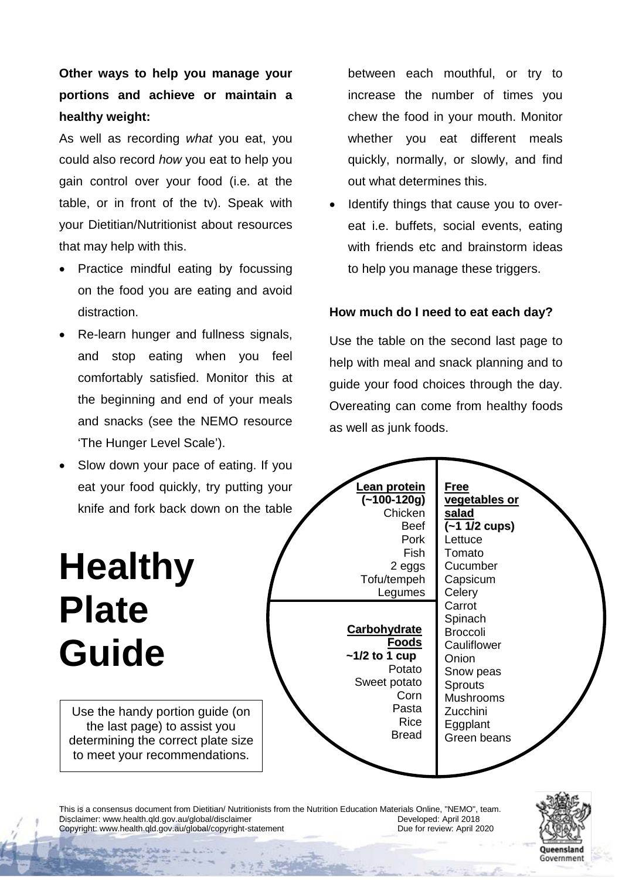**Other ways to help you manage your portions and achieve or maintain a healthy weight:** 

As well as recording *what* you eat, you could also record *how* you eat to help you gain control over your food (i.e. at the table, or in front of the tv). Speak with your Dietitian/Nutritionist about resources that may help with this.

- Practice mindful eating by focussing on the food you are eating and avoid distraction.
- Re-learn hunger and fullness signals, and stop eating when you feel comfortably satisfied. Monitor this at the beginning and end of your meals and snacks (see the NEMO resource 'The Hunger Level Scale').

between each mouthful, or try to increase the number of times you chew the food in your mouth. Monitor whether you eat different meals quickly, normally, or slowly, and find out what determines this.

Identify things that cause you to overeat i.e. buffets, social events, eating with friends etc and brainstorm ideas to help you manage these triggers.

#### **How much do I need to eat each day?**

Use the table on the second last page to help with meal and snack planning and to guide your food choices through the day. Overeating can come from healthy foods as well as junk foods.



This is a consensus document from Dietitian/ Nutritionists from the Nutrition Education Materials Online, "NEMO", team.<br>Disclaimer: www.health.gld.gov.au/global/disclaimer Disclaimer: www.health.qld.gov.au/global/disclaimer<br>
Copyright: www.health.qld.gov.au/global/copyright-statement Developed: Due for review: April 2020 Copyright: www.health.qld.gov.au/global/copyright-statement

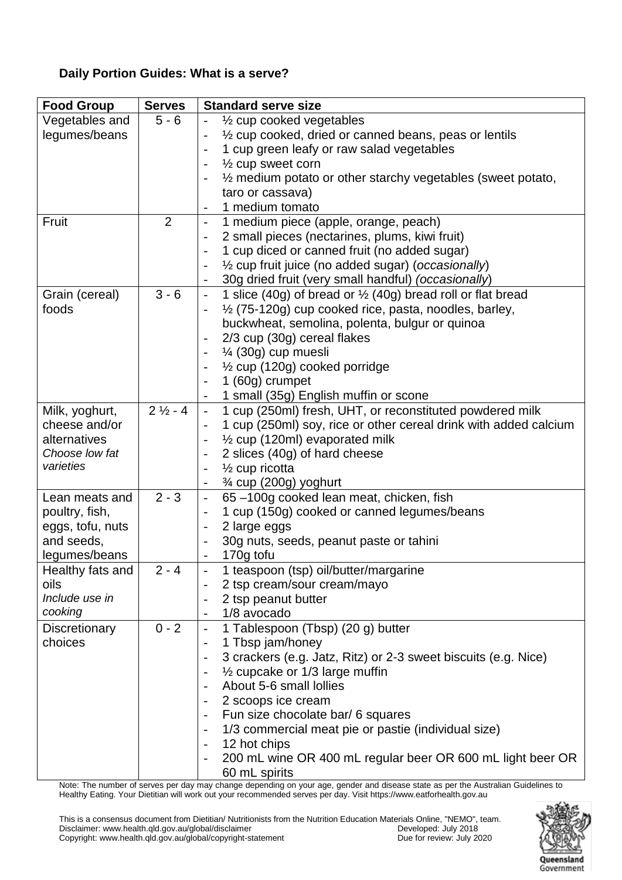### **Daily Portion Guides: What is a serve?**

| $5 - 6$<br>Vegetables and<br>1/2 cup cooked vegetables<br>legumes/beans<br>$\frac{1}{2}$ cup cooked, dried or canned beans, peas or lentils<br>1 cup green leafy or raw salad vegetables<br>$\frac{1}{2}$ cup sweet corn<br>1/2 medium potato or other starchy vegetables (sweet potato,<br>taro or cassava)<br>1 medium tomato<br>$\overline{2}$<br>Fruit<br>1 medium piece (apple, orange, peach)<br>$\overline{\phantom{0}}$<br>2 small pieces (nectarines, plums, kiwi fruit)<br>$\overline{\phantom{0}}$<br>1 cup diced or canned fruit (no added sugar)<br>$\overline{\phantom{a}}$<br>1/2 cup fruit juice (no added sugar) (occasionally)<br>30g dried fruit (very small handful) (occasionally)<br>$3 - 6$<br>1 slice (40g) of bread or $\frac{1}{2}$ (40g) bread roll or flat bread<br>Grain (cereal)<br>$\overline{\phantom{0}}$<br>$\frac{1}{2}$ (75-120g) cup cooked rice, pasta, noodles, barley,<br>foods<br>buckwheat, semolina, polenta, bulgur or quinoa<br>2/3 cup (30g) cereal flakes<br>1⁄4 (30g) cup muesli<br>$\frac{1}{2}$ cup (120g) cooked porridge<br>1 (60g) crumpet<br>1 small (35g) English muffin or scone<br>$2\frac{1}{2} - 4$<br>1 cup (250ml) fresh, UHT, or reconstituted powdered milk<br>Milk, yoghurt,<br>$\overline{\phantom{a}}$<br>cheese and/or<br>1 cup (250ml) soy, rice or other cereal drink with added calcium<br>$\overline{\phantom{0}}$<br>$\frac{1}{2}$ cup (120ml) evaporated milk<br>alternatives<br>$\qquad \qquad -$<br>Choose low fat<br>2 slices (40g) of hard cheese<br>$\qquad \qquad -$ |
|-----------------------------------------------------------------------------------------------------------------------------------------------------------------------------------------------------------------------------------------------------------------------------------------------------------------------------------------------------------------------------------------------------------------------------------------------------------------------------------------------------------------------------------------------------------------------------------------------------------------------------------------------------------------------------------------------------------------------------------------------------------------------------------------------------------------------------------------------------------------------------------------------------------------------------------------------------------------------------------------------------------------------------------------------------------------------------------------------------------------------------------------------------------------------------------------------------------------------------------------------------------------------------------------------------------------------------------------------------------------------------------------------------------------------------------------------------------------------------------------------------------------------------------------------------|
|                                                                                                                                                                                                                                                                                                                                                                                                                                                                                                                                                                                                                                                                                                                                                                                                                                                                                                                                                                                                                                                                                                                                                                                                                                                                                                                                                                                                                                                                                                                                                     |
|                                                                                                                                                                                                                                                                                                                                                                                                                                                                                                                                                                                                                                                                                                                                                                                                                                                                                                                                                                                                                                                                                                                                                                                                                                                                                                                                                                                                                                                                                                                                                     |
|                                                                                                                                                                                                                                                                                                                                                                                                                                                                                                                                                                                                                                                                                                                                                                                                                                                                                                                                                                                                                                                                                                                                                                                                                                                                                                                                                                                                                                                                                                                                                     |
|                                                                                                                                                                                                                                                                                                                                                                                                                                                                                                                                                                                                                                                                                                                                                                                                                                                                                                                                                                                                                                                                                                                                                                                                                                                                                                                                                                                                                                                                                                                                                     |
|                                                                                                                                                                                                                                                                                                                                                                                                                                                                                                                                                                                                                                                                                                                                                                                                                                                                                                                                                                                                                                                                                                                                                                                                                                                                                                                                                                                                                                                                                                                                                     |
|                                                                                                                                                                                                                                                                                                                                                                                                                                                                                                                                                                                                                                                                                                                                                                                                                                                                                                                                                                                                                                                                                                                                                                                                                                                                                                                                                                                                                                                                                                                                                     |
|                                                                                                                                                                                                                                                                                                                                                                                                                                                                                                                                                                                                                                                                                                                                                                                                                                                                                                                                                                                                                                                                                                                                                                                                                                                                                                                                                                                                                                                                                                                                                     |
|                                                                                                                                                                                                                                                                                                                                                                                                                                                                                                                                                                                                                                                                                                                                                                                                                                                                                                                                                                                                                                                                                                                                                                                                                                                                                                                                                                                                                                                                                                                                                     |
|                                                                                                                                                                                                                                                                                                                                                                                                                                                                                                                                                                                                                                                                                                                                                                                                                                                                                                                                                                                                                                                                                                                                                                                                                                                                                                                                                                                                                                                                                                                                                     |
|                                                                                                                                                                                                                                                                                                                                                                                                                                                                                                                                                                                                                                                                                                                                                                                                                                                                                                                                                                                                                                                                                                                                                                                                                                                                                                                                                                                                                                                                                                                                                     |
|                                                                                                                                                                                                                                                                                                                                                                                                                                                                                                                                                                                                                                                                                                                                                                                                                                                                                                                                                                                                                                                                                                                                                                                                                                                                                                                                                                                                                                                                                                                                                     |
|                                                                                                                                                                                                                                                                                                                                                                                                                                                                                                                                                                                                                                                                                                                                                                                                                                                                                                                                                                                                                                                                                                                                                                                                                                                                                                                                                                                                                                                                                                                                                     |
|                                                                                                                                                                                                                                                                                                                                                                                                                                                                                                                                                                                                                                                                                                                                                                                                                                                                                                                                                                                                                                                                                                                                                                                                                                                                                                                                                                                                                                                                                                                                                     |
|                                                                                                                                                                                                                                                                                                                                                                                                                                                                                                                                                                                                                                                                                                                                                                                                                                                                                                                                                                                                                                                                                                                                                                                                                                                                                                                                                                                                                                                                                                                                                     |
|                                                                                                                                                                                                                                                                                                                                                                                                                                                                                                                                                                                                                                                                                                                                                                                                                                                                                                                                                                                                                                                                                                                                                                                                                                                                                                                                                                                                                                                                                                                                                     |
|                                                                                                                                                                                                                                                                                                                                                                                                                                                                                                                                                                                                                                                                                                                                                                                                                                                                                                                                                                                                                                                                                                                                                                                                                                                                                                                                                                                                                                                                                                                                                     |
|                                                                                                                                                                                                                                                                                                                                                                                                                                                                                                                                                                                                                                                                                                                                                                                                                                                                                                                                                                                                                                                                                                                                                                                                                                                                                                                                                                                                                                                                                                                                                     |
|                                                                                                                                                                                                                                                                                                                                                                                                                                                                                                                                                                                                                                                                                                                                                                                                                                                                                                                                                                                                                                                                                                                                                                                                                                                                                                                                                                                                                                                                                                                                                     |
|                                                                                                                                                                                                                                                                                                                                                                                                                                                                                                                                                                                                                                                                                                                                                                                                                                                                                                                                                                                                                                                                                                                                                                                                                                                                                                                                                                                                                                                                                                                                                     |
|                                                                                                                                                                                                                                                                                                                                                                                                                                                                                                                                                                                                                                                                                                                                                                                                                                                                                                                                                                                                                                                                                                                                                                                                                                                                                                                                                                                                                                                                                                                                                     |
|                                                                                                                                                                                                                                                                                                                                                                                                                                                                                                                                                                                                                                                                                                                                                                                                                                                                                                                                                                                                                                                                                                                                                                                                                                                                                                                                                                                                                                                                                                                                                     |
|                                                                                                                                                                                                                                                                                                                                                                                                                                                                                                                                                                                                                                                                                                                                                                                                                                                                                                                                                                                                                                                                                                                                                                                                                                                                                                                                                                                                                                                                                                                                                     |
|                                                                                                                                                                                                                                                                                                                                                                                                                                                                                                                                                                                                                                                                                                                                                                                                                                                                                                                                                                                                                                                                                                                                                                                                                                                                                                                                                                                                                                                                                                                                                     |
|                                                                                                                                                                                                                                                                                                                                                                                                                                                                                                                                                                                                                                                                                                                                                                                                                                                                                                                                                                                                                                                                                                                                                                                                                                                                                                                                                                                                                                                                                                                                                     |
| varieties<br>$\frac{1}{2}$ cup ricotta<br>$\qquad \qquad -$                                                                                                                                                                                                                                                                                                                                                                                                                                                                                                                                                                                                                                                                                                                                                                                                                                                                                                                                                                                                                                                                                                                                                                                                                                                                                                                                                                                                                                                                                         |
| $\frac{3}{4}$ cup (200g) yoghurt<br>$\qquad \qquad \blacksquare$                                                                                                                                                                                                                                                                                                                                                                                                                                                                                                                                                                                                                                                                                                                                                                                                                                                                                                                                                                                                                                                                                                                                                                                                                                                                                                                                                                                                                                                                                    |
| $2 - 3$<br>65-100g cooked lean meat, chicken, fish<br>Lean meats and<br>$\overline{\phantom{0}}$                                                                                                                                                                                                                                                                                                                                                                                                                                                                                                                                                                                                                                                                                                                                                                                                                                                                                                                                                                                                                                                                                                                                                                                                                                                                                                                                                                                                                                                    |
| 1 cup (150g) cooked or canned legumes/beans<br>poultry, fish,<br>$\overline{\phantom{0}}$                                                                                                                                                                                                                                                                                                                                                                                                                                                                                                                                                                                                                                                                                                                                                                                                                                                                                                                                                                                                                                                                                                                                                                                                                                                                                                                                                                                                                                                           |
| eggs, tofu, nuts<br>2 large eggs<br>$\qquad \qquad -$                                                                                                                                                                                                                                                                                                                                                                                                                                                                                                                                                                                                                                                                                                                                                                                                                                                                                                                                                                                                                                                                                                                                                                                                                                                                                                                                                                                                                                                                                               |
| and seeds,<br>30g nuts, seeds, peanut paste or tahini                                                                                                                                                                                                                                                                                                                                                                                                                                                                                                                                                                                                                                                                                                                                                                                                                                                                                                                                                                                                                                                                                                                                                                                                                                                                                                                                                                                                                                                                                               |
| legumes/beans<br>170g tofu                                                                                                                                                                                                                                                                                                                                                                                                                                                                                                                                                                                                                                                                                                                                                                                                                                                                                                                                                                                                                                                                                                                                                                                                                                                                                                                                                                                                                                                                                                                          |
| $2 - 4$<br>1 teaspoon (tsp) oil/butter/margarine<br>Healthy fats and                                                                                                                                                                                                                                                                                                                                                                                                                                                                                                                                                                                                                                                                                                                                                                                                                                                                                                                                                                                                                                                                                                                                                                                                                                                                                                                                                                                                                                                                                |
| oils<br>2 tsp cream/sour cream/mayo                                                                                                                                                                                                                                                                                                                                                                                                                                                                                                                                                                                                                                                                                                                                                                                                                                                                                                                                                                                                                                                                                                                                                                                                                                                                                                                                                                                                                                                                                                                 |
| Include use in<br>2 tsp peanut butter                                                                                                                                                                                                                                                                                                                                                                                                                                                                                                                                                                                                                                                                                                                                                                                                                                                                                                                                                                                                                                                                                                                                                                                                                                                                                                                                                                                                                                                                                                               |
| cooking<br>1/8 avocado                                                                                                                                                                                                                                                                                                                                                                                                                                                                                                                                                                                                                                                                                                                                                                                                                                                                                                                                                                                                                                                                                                                                                                                                                                                                                                                                                                                                                                                                                                                              |
| $0 - 2$<br>1 Tablespoon (Tbsp) (20 g) butter<br>Discretionary                                                                                                                                                                                                                                                                                                                                                                                                                                                                                                                                                                                                                                                                                                                                                                                                                                                                                                                                                                                                                                                                                                                                                                                                                                                                                                                                                                                                                                                                                       |
| 1 Tbsp jam/honey<br>choices<br>$\overline{\phantom{a}}$                                                                                                                                                                                                                                                                                                                                                                                                                                                                                                                                                                                                                                                                                                                                                                                                                                                                                                                                                                                                                                                                                                                                                                                                                                                                                                                                                                                                                                                                                             |
| 3 crackers (e.g. Jatz, Ritz) or 2-3 sweet biscuits (e.g. Nice)<br>$\overline{\phantom{a}}$                                                                                                                                                                                                                                                                                                                                                                                                                                                                                                                                                                                                                                                                                                                                                                                                                                                                                                                                                                                                                                                                                                                                                                                                                                                                                                                                                                                                                                                          |
| $\frac{1}{2}$ cupcake or 1/3 large muffin                                                                                                                                                                                                                                                                                                                                                                                                                                                                                                                                                                                                                                                                                                                                                                                                                                                                                                                                                                                                                                                                                                                                                                                                                                                                                                                                                                                                                                                                                                           |
| About 5-6 small lollies                                                                                                                                                                                                                                                                                                                                                                                                                                                                                                                                                                                                                                                                                                                                                                                                                                                                                                                                                                                                                                                                                                                                                                                                                                                                                                                                                                                                                                                                                                                             |
| 2 scoops ice cream                                                                                                                                                                                                                                                                                                                                                                                                                                                                                                                                                                                                                                                                                                                                                                                                                                                                                                                                                                                                                                                                                                                                                                                                                                                                                                                                                                                                                                                                                                                                  |
| Fun size chocolate bar/ 6 squares<br>$\overline{\phantom{a}}$                                                                                                                                                                                                                                                                                                                                                                                                                                                                                                                                                                                                                                                                                                                                                                                                                                                                                                                                                                                                                                                                                                                                                                                                                                                                                                                                                                                                                                                                                       |
| 1/3 commercial meat pie or pastie (individual size)                                                                                                                                                                                                                                                                                                                                                                                                                                                                                                                                                                                                                                                                                                                                                                                                                                                                                                                                                                                                                                                                                                                                                                                                                                                                                                                                                                                                                                                                                                 |
| 12 hot chips<br>$\overline{\phantom{a}}$                                                                                                                                                                                                                                                                                                                                                                                                                                                                                                                                                                                                                                                                                                                                                                                                                                                                                                                                                                                                                                                                                                                                                                                                                                                                                                                                                                                                                                                                                                            |
| 200 mL wine OR 400 mL regular beer OR 600 mL light beer OR                                                                                                                                                                                                                                                                                                                                                                                                                                                                                                                                                                                                                                                                                                                                                                                                                                                                                                                                                                                                                                                                                                                                                                                                                                                                                                                                                                                                                                                                                          |
| 60 mL spirits                                                                                                                                                                                                                                                                                                                                                                                                                                                                                                                                                                                                                                                                                                                                                                                                                                                                                                                                                                                                                                                                                                                                                                                                                                                                                                                                                                                                                                                                                                                                       |

Note: The number of serves per day may change depending on your age, gender and disease state as per the Australian Guidelines to Healthy Eating. Your Dietitian will work out your recommended serves per day. Visit https://www.eatforhealth.gov.au